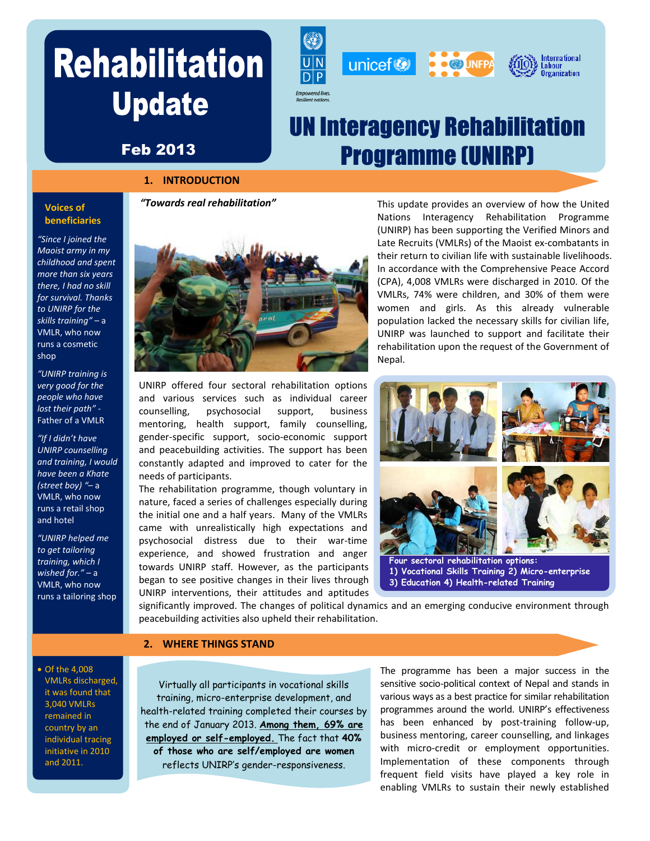# **Update**







## **UN Interagency Rehabilitation Programme (UNIRP)**

### Feb 2013

#### **1. INTRODUCTION**

#### **Voices of beneficiaries**

*"Since I joined the Maoist army in my childhood and spent more than six years there, I had no skill for survival. Thanks to UNIRP for the skills training"* – a VMLR, who now runs a cosmetic shop

*"UNIRP training is very good for the people who have lost their path" -* Father of a VMLR

*"If I didn't have UNIRP counselling and training, I would have been a Khate (street boy) "*– a VMLR, who now runs a retail shop and hotel

*"UNIRP helped me to get tailoring training, which I wished for."* – a VMLR, who now runs a tailoring shop *"Towards real rehabilitation"*



UNIRP offered four sectoral rehabilitation options and various services such as individual career counselling, psychosocial support, business mentoring, health support, family counselling, gender-specific support, socio-economic support and peacebuilding activities. The support has been constantly adapted and improved to cater for the needs of participants.

The rehabilitation programme, though voluntary in nature, faced a series of challenges especially during the initial one and a half years. Many of the VMLRs came with unrealistically high expectations and psychosocial distress due to their war-time experience, and showed frustration and anger towards UNIRP staff. However, as the participants began to see positive changes in their lives through UNIRP interventions, their attitudes and aptitudes

This update provides an overview of how the United Nations Interagency Rehabilitation Programme (UNIRP) has been supporting the Verified Minors and Late Recruits (VMLRs) of the Maoist ex-combatants in their return to civilian life with sustainable livelihoods. In accordance with the Comprehensive Peace Accord (CPA), 4,008 VMLRs were discharged in 2010. Of the VMLRs, 74% were children, and 30% of them were women and girls. As this already vulnerable population lacked the necessary skills for civilian life, UNIRP was launched to support and facilitate their rehabilitation upon the request of the Government of Nepal.



 **1) Vocational Skills Training 2) Micro-enterprise 3) Education 4) Health-related Training**

significantly improved. The changes of political dynamics and an emerging conducive environment through peacebuilding activities also upheld their rehabilitation.

#### **2. WHERE THINGS STAND**

 Of the 4,008 VMLRs discharged, it was found that 3,040 VMLRs remained in country by an individual tracing initiative in 2010 and 2011.

Virtually all participants in vocational skills training, micro-enterprise development, and health-related training completed their courses by the end of January 2013. **Among them, 69% are employed or self-employed.** The fact that **40% of those who are self/employed are women** reflects UNIRP's gender-responsiveness.

The programme has been a major success in the sensitive socio-political context of Nepal and stands in various ways as a best practice for similar rehabilitation programmes around the world. UNIRP's effectiveness has been enhanced by post-training follow-up, business mentoring, career counselling, and linkages with micro-credit or employment opportunities. Implementation of these components through frequent field visits have played a key role in enabling VMLRs to sustain their newly established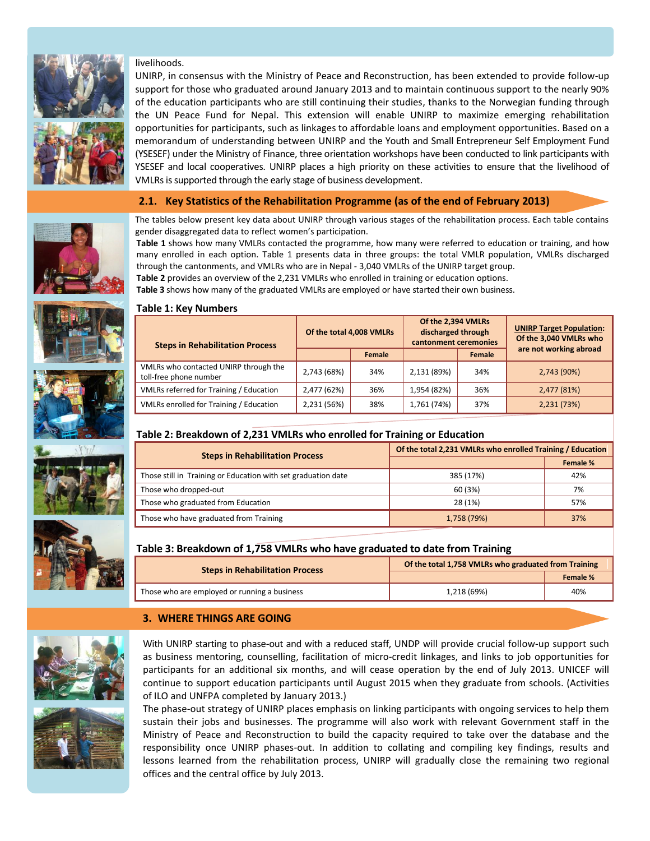

livelihoods. UNIRP, in consensus with the Ministry of Peace and Reconstruction, has been extended to provide follow-up support for those who graduated around January 2013 and to maintain continuous support to the nearly 90%

of the education participants who are still continuing their studies, thanks to the Norwegian funding through the UN Peace Fund for Nepal. This extension will enable UNIRP to maximize emerging rehabilitation opportunities for participants, such as linkages to affordable loans and employment opportunities. Based on a memorandum of understanding between UNIRP and the Youth and Small Entrepreneur Self Employment Fund (YSESEF) under the Ministry of Finance, three orientation workshops have been conducted to link participants with YSESEF and local cooperatives. UNIRP places a high priority on these activities to ensure that the livelihood of VMLRs is supported through the early stage of business development.

#### **2.1. Key Statistics of the Rehabilitation Programme (as of the end of February 2013)**



The tables below present key data about UNIRP through various stages of the rehabilitation process. Each table contains gender disaggregated data to reflect women's participation.

**Table 1** shows how many VMLRs contacted the programme, how many were referred to education or training, and how many enrolled in each option. Table 1 presents data in three groups: the total VMLR population, VMLRs discharged through the cantonments, and VMLRs who are in Nepal - 3,040 VMLRs of the UNIRP target group.

**Table 2** provides an overview of the 2,231 VMLRs who enrolled in training or education options.

**Table 3** shows how many of the graduated VMLRs are employed or have started their own business.



#### **Table 1: Key Numbers**

| <b>Steps in Rehabilitation Process</b>                          | Of the total 4,008 VMLRs |        | Of the 2,394 VMLRs<br>discharged through<br>cantonment ceremonies |        | <b>UNIRP Target Population:</b><br>Of the 3,040 VMLRs who |  |
|-----------------------------------------------------------------|--------------------------|--------|-------------------------------------------------------------------|--------|-----------------------------------------------------------|--|
|                                                                 |                          | Female |                                                                   | Female | are not working abroad                                    |  |
| VMLRs who contacted UNIRP through the<br>toll-free phone number | 2,743 (68%)              | 34%    | 2,131 (89%)                                                       | 34%    | 2,743 (90%)                                               |  |
| VMLRs referred for Training / Education                         | 2,477 (62%)              | 36%    | 1,954 (82%)                                                       | 36%    | 2,477 (81%)                                               |  |
| VMLRs enrolled for Training / Education                         | 2,231 (56%)              | 38%    | 1,761 (74%)                                                       | 37%    | 2,231 (73%)                                               |  |

#### **Table 2: Breakdown of 2,231 VMLRs who enrolled for Training or Education**

| <b>Steps in Rehabilitation Process</b>                        | Of the total 2,231 VMLRs who enrolled Training / Education |          |  |
|---------------------------------------------------------------|------------------------------------------------------------|----------|--|
|                                                               |                                                            | Female % |  |
| Those still in Training or Education with set graduation date | 385 (17%)                                                  | 42%      |  |
| Those who dropped-out                                         | 60 (3%)                                                    | 7%       |  |
| Those who graduated from Education                            | 28 (1%)                                                    | 57%      |  |
| Those who have graduated from Training                        | 1,758 (79%)                                                | 37%      |  |



| <b>Steps in Rehabilitation Process</b>       | Of the total 1,758 VMLRs who graduated from Training |          |  |
|----------------------------------------------|------------------------------------------------------|----------|--|
|                                              |                                                      | Female % |  |
| Those who are employed or running a business | 1,218 (69%)                                          | 40%      |  |

With UNIRP starting to phase-out and with a reduced staff, UNDP will provide crucial follow-up support such

#### **3. WHERE THINGS ARE GOING**







sustain their jobs and businesses. The programme will also work with relevant Government staff in the Ministry of Peace and Reconstruction to build the capacity required to take over the database and the responsibility once UNIRP phases-out. In addition to collating and compiling key findings, results and lessons learned from the rehabilitation process, UNIRP will gradually close the remaining two regional offices and the central office by July 2013.